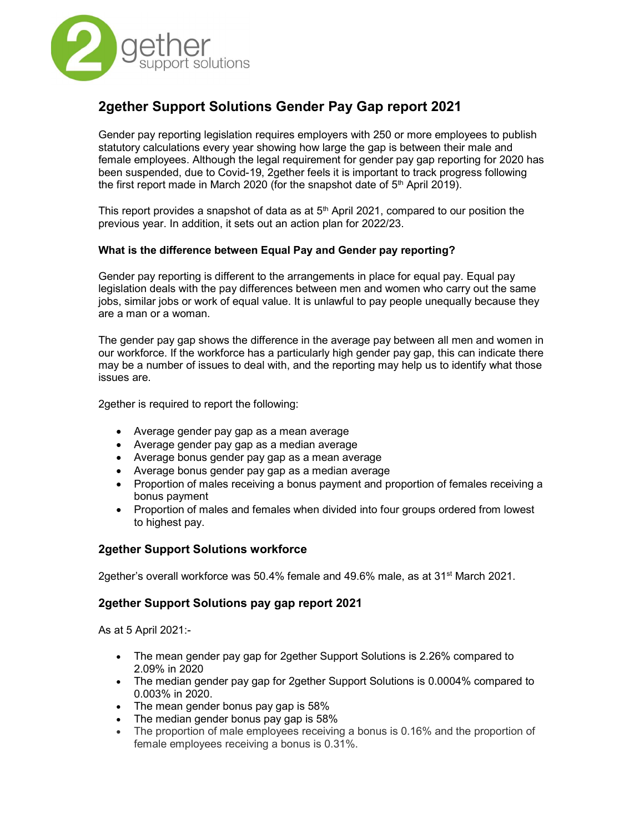

# 2gether Support Solutions Gender Pay Gap report 2021

Gender pay reporting legislation requires employers with 250 or more employees to publish statutory calculations every year showing how large the gap is between their male and female employees. Although the legal requirement for gender pay gap reporting for 2020 has been suspended, due to Covid-19, 2gether feels it is important to track progress following the first report made in March 2020 (for the snapshot date of 5<sup>th</sup> April 2019).

This report provides a snapshot of data as at  $5<sup>th</sup>$  April 2021, compared to our position the previous year. In addition, it sets out an action plan for 2022/23.

## What is the difference between Equal Pay and Gender pay reporting?

Gender pay reporting is different to the arrangements in place for equal pay. Equal pay legislation deals with the pay differences between men and women who carry out the same jobs, similar jobs or work of equal value. It is unlawful to pay people unequally because they are a man or a woman.

The gender pay gap shows the difference in the average pay between all men and women in our workforce. If the workforce has a particularly high gender pay gap, this can indicate there may be a number of issues to deal with, and the reporting may help us to identify what those issues are.

2gether is required to report the following:

- Average gender pay gap as a mean average
- Average gender pay gap as a median average
- Average bonus gender pay gap as a mean average
- Average bonus gender pay gap as a median average
- Proportion of males receiving a bonus payment and proportion of females receiving a bonus payment
- Proportion of males and females when divided into four groups ordered from lowest to highest pay.

## 2gether Support Solutions workforce

2gether's overall workforce was 50.4% female and 49.6% male, as at 31<sup>st</sup> March 2021.

## 2gether Support Solutions pay gap report 2021

As at 5 April 2021:-

- The mean gender pay gap for 2gether Support Solutions is 2.26% compared to 2.09% in 2020
- The median gender pay gap for 2gether Support Solutions is 0.0004% compared to 0.003% in 2020.
- The mean gender bonus pay gap is 58%
- The median gender bonus pay gap is 58%
- The proportion of male employees receiving a bonus is 0.16% and the proportion of female employees receiving a bonus is 0.31%.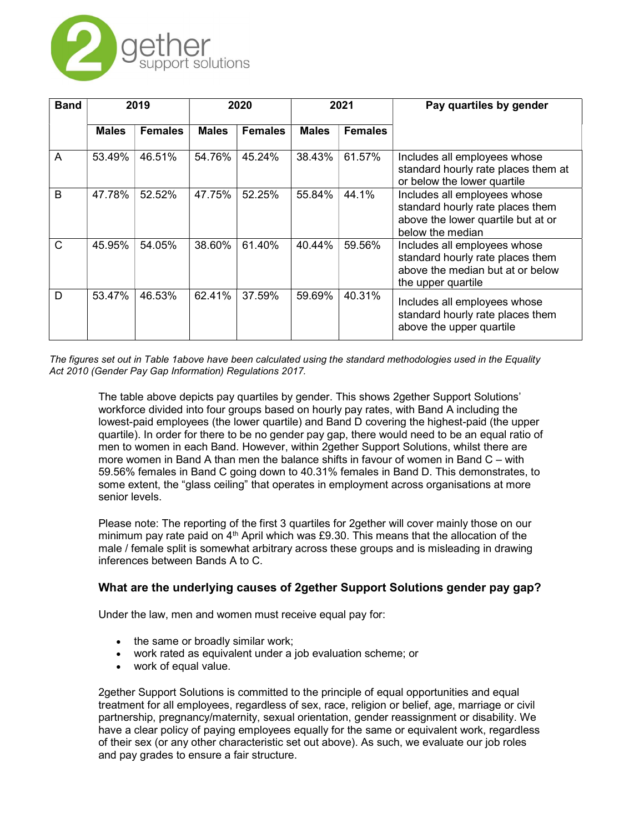

| <b>Band</b> | 2019         |                | 2020         |                | 2021         |                | Pay quartiles by gender                                                                                                    |
|-------------|--------------|----------------|--------------|----------------|--------------|----------------|----------------------------------------------------------------------------------------------------------------------------|
|             | <b>Males</b> | <b>Females</b> | <b>Males</b> | <b>Females</b> | <b>Males</b> | <b>Females</b> |                                                                                                                            |
| A           | 53.49%       | 46.51%         | 54.76%       | 45.24%         | 38.43%       | 61.57%         | Includes all employees whose<br>standard hourly rate places them at<br>or below the lower quartile                         |
| B           | 47.78%       | 52.52%         | 47.75%       | 52.25%         | 55.84%       | 44.1%          | Includes all employees whose<br>standard hourly rate places them<br>above the lower quartile but at or<br>below the median |
| C           | 45.95%       | 54.05%         | 38.60%       | 61.40%         | 40.44%       | 59.56%         | Includes all employees whose<br>standard hourly rate places them<br>above the median but at or below<br>the upper quartile |
| D           | 53.47%       | 46.53%         | 62.41%       | 37.59%         | 59.69%       | 40.31%         | Includes all employees whose<br>standard hourly rate places them<br>above the upper quartile                               |

The figures set out in Table 1above have been calculated using the standard methodologies used in the Equality Act 2010 (Gender Pay Gap Information) Regulations 2017.

The table above depicts pay quartiles by gender. This shows 2gether Support Solutions' workforce divided into four groups based on hourly pay rates, with Band A including the lowest-paid employees (the lower quartile) and Band D covering the highest-paid (the upper quartile). In order for there to be no gender pay gap, there would need to be an equal ratio of men to women in each Band. However, within 2gether Support Solutions, whilst there are more women in Band A than men the balance shifts in favour of women in Band C – with 59.56% females in Band C going down to 40.31% females in Band D. This demonstrates, to some extent, the "glass ceiling" that operates in employment across organisations at more senior levels.

Please note: The reporting of the first 3 quartiles for 2gether will cover mainly those on our minimum pay rate paid on  $4<sup>th</sup>$  April which was £9.30. This means that the allocation of the male / female split is somewhat arbitrary across these groups and is misleading in drawing inferences between Bands A to C.

## What are the underlying causes of 2gether Support Solutions gender pay gap?

Under the law, men and women must receive equal pay for:

- the same or broadly similar work;
- work rated as equivalent under a job evaluation scheme; or
- work of equal value.

2gether Support Solutions is committed to the principle of equal opportunities and equal treatment for all employees, regardless of sex, race, religion or belief, age, marriage or civil partnership, pregnancy/maternity, sexual orientation, gender reassignment or disability. We have a clear policy of paying employees equally for the same or equivalent work, regardless of their sex (or any other characteristic set out above). As such, we evaluate our job roles and pay grades to ensure a fair structure.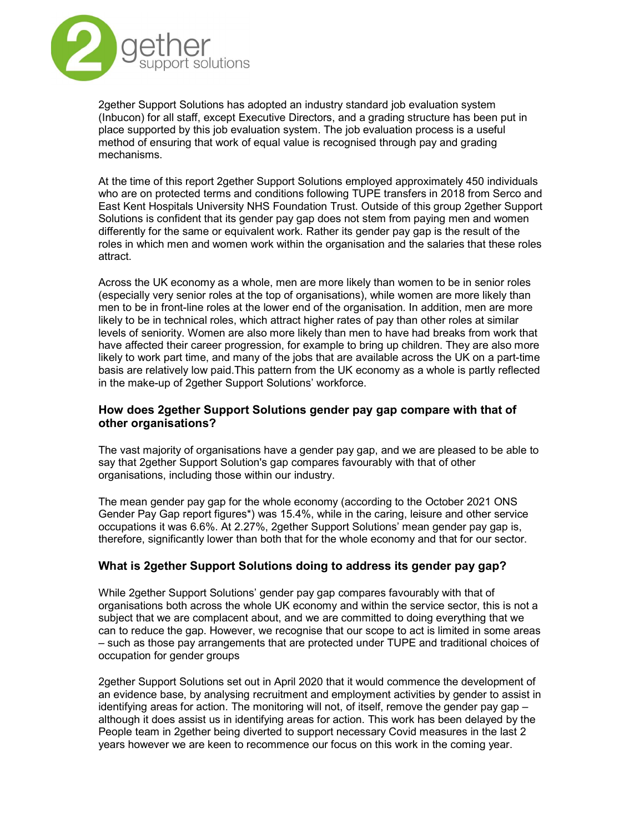

2gether Support Solutions has adopted an industry standard job evaluation system (Inbucon) for all staff, except Executive Directors, and a grading structure has been put in place supported by this job evaluation system. The job evaluation process is a useful method of ensuring that work of equal value is recognised through pay and grading mechanisms.

At the time of this report 2gether Support Solutions employed approximately 450 individuals who are on protected terms and conditions following TUPE transfers in 2018 from Serco and East Kent Hospitals University NHS Foundation Trust. Outside of this group 2gether Support Solutions is confident that its gender pay gap does not stem from paying men and women differently for the same or equivalent work. Rather its gender pay gap is the result of the roles in which men and women work within the organisation and the salaries that these roles attract.

Across the UK economy as a whole, men are more likely than women to be in senior roles (especially very senior roles at the top of organisations), while women are more likely than men to be in front-line roles at the lower end of the organisation. In addition, men are more likely to be in technical roles, which attract higher rates of pay than other roles at similar levels of seniority. Women are also more likely than men to have had breaks from work that have affected their career progression, for example to bring up children. They are also more likely to work part time, and many of the jobs that are available across the UK on a part-time basis are relatively low paid.This pattern from the UK economy as a whole is partly reflected in the make-up of 2gether Support Solutions' workforce.

# How does 2gether Support Solutions gender pay gap compare with that of other organisations?

The vast majority of organisations have a gender pay gap, and we are pleased to be able to say that 2gether Support Solution's gap compares favourably with that of other organisations, including those within our industry.

The mean gender pay gap for the whole economy (according to the October 2021 ONS Gender Pay Gap report figures\*) was 15.4%, while in the caring, leisure and other service occupations it was 6.6%. At 2.27%, 2gether Support Solutions' mean gender pay gap is, therefore, significantly lower than both that for the whole economy and that for our sector.

# What is 2gether Support Solutions doing to address its gender pay gap?

While 2gether Support Solutions' gender pay gap compares favourably with that of organisations both across the whole UK economy and within the service sector, this is not a subject that we are complacent about, and we are committed to doing everything that we can to reduce the gap. However, we recognise that our scope to act is limited in some areas – such as those pay arrangements that are protected under TUPE and traditional choices of occupation for gender groups

2gether Support Solutions set out in April 2020 that it would commence the development of an evidence base, by analysing recruitment and employment activities by gender to assist in identifying areas for action. The monitoring will not, of itself, remove the gender pay gap  $$ although it does assist us in identifying areas for action. This work has been delayed by the People team in 2gether being diverted to support necessary Covid measures in the last 2 years however we are keen to recommence our focus on this work in the coming year.